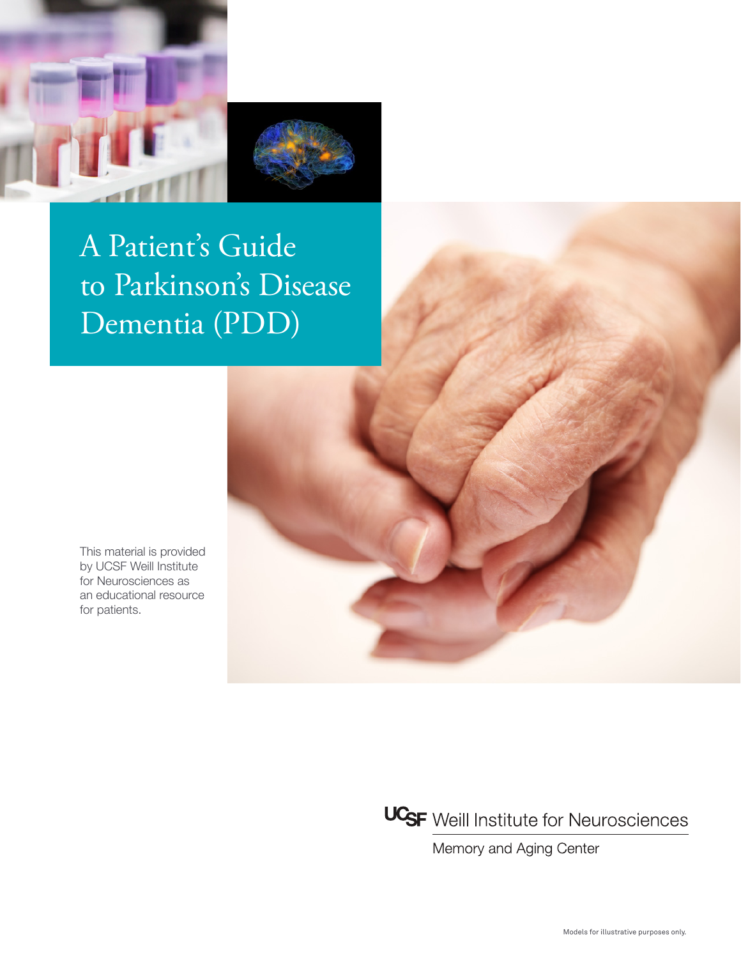

# A Patient's Guide to Parkinson's Disease Dementia (PDD)

This material is provided by UCSF Weill Institute for Neurosciences as an educational resource for patients.

UCSF Weill Institute for Neurosciences

Memory and Aging Center

Models for illustrative purposes only.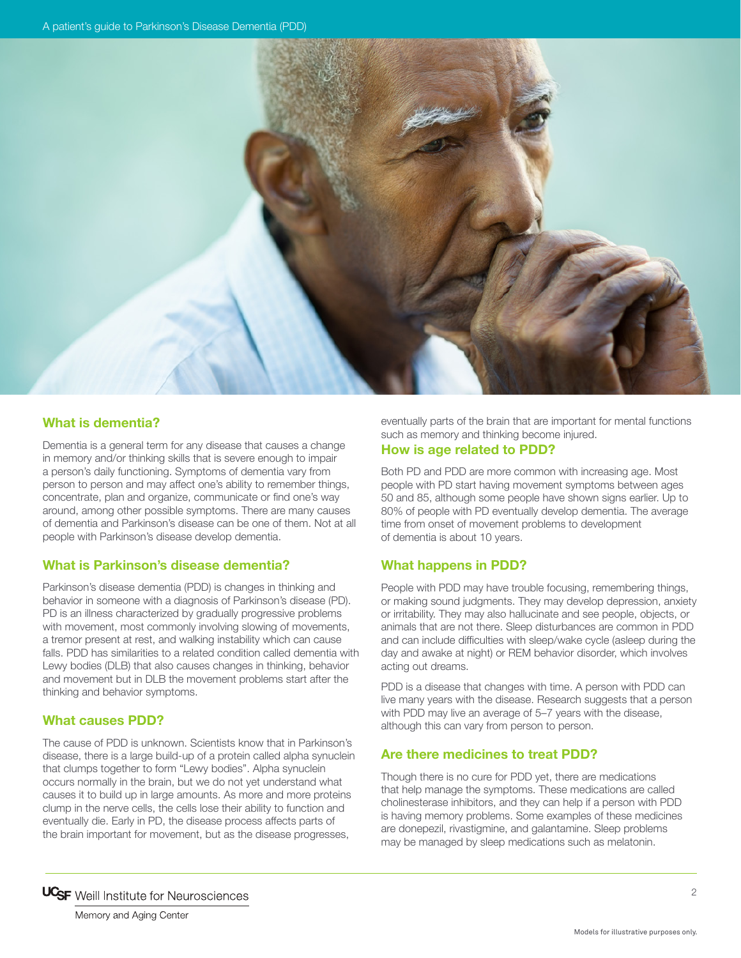

## **What is dementia?**

Dementia is a general term for any disease that causes a change in memory and/or thinking skills that is severe enough to impair a person's daily functioning. Symptoms of dementia vary from person to person and may affect one's ability to remember things, concentrate, plan and organize, communicate or find one's way around, among other possible symptoms. There are many causes of dementia and Parkinson's disease can be one of them. Not at all people with Parkinson's disease develop dementia.

#### **What is Parkinson's disease dementia?**

Parkinson's disease dementia (PDD) is changes in thinking and behavior in someone with a diagnosis of Parkinson's disease (PD). PD is an illness characterized by gradually progressive problems with movement, most commonly involving slowing of movements, a tremor present at rest, and walking instability which can cause falls. PDD has similarities to a related condition called dementia with Lewy bodies (DLB) that also causes changes in thinking, behavior and movement but in DLB the movement problems start after the thinking and behavior symptoms.

### **What causes PDD?**

The cause of PDD is unknown. Scientists know that in Parkinson's disease, there is a large build-up of a protein called alpha synuclein that clumps together to form "Lewy bodies". Alpha synuclein occurs normally in the brain, but we do not yet understand what causes it to build up in large amounts. As more and more proteins clump in the nerve cells, the cells lose their ability to function and eventually die. Early in PD, the disease process affects parts of the brain important for movement, but as the disease progresses,

eventually parts of the brain that are important for mental functions such as memory and thinking become injured.

#### **How is age related to PDD?**

Both PD and PDD are more common with increasing age. Most people with PD start having movement symptoms between ages 50 and 85, although some people have shown signs earlier. Up to 80% of people with PD eventually develop dementia. The average time from onset of movement problems to development of dementia is about 10 years.

#### **What happens in PDD?**

People with PDD may have trouble focusing, remembering things, or making sound judgments. They may develop depression, anxiety or irritability. They may also hallucinate and see people, objects, or animals that are not there. Sleep disturbances are common in PDD and can include difficulties with sleep/wake cycle (asleep during the day and awake at night) or REM behavior disorder, which involves acting out dreams.

PDD is a disease that changes with time. A person with PDD can live many years with the disease. Research suggests that a person with PDD may live an average of 5–7 years with the disease, although this can vary from person to person.

#### **Are there medicines to treat PDD?**

Though there is no cure for PDD yet, there are medications that help manage the symptoms. These medications are called cholinesterase inhibitors, and they can help if a person with PDD is having memory problems. Some examples of these medicines are donepezil, rivastigmine, and galantamine. Sleep problems may be managed by sleep medications such as melatonin.

Memory and Aging Center